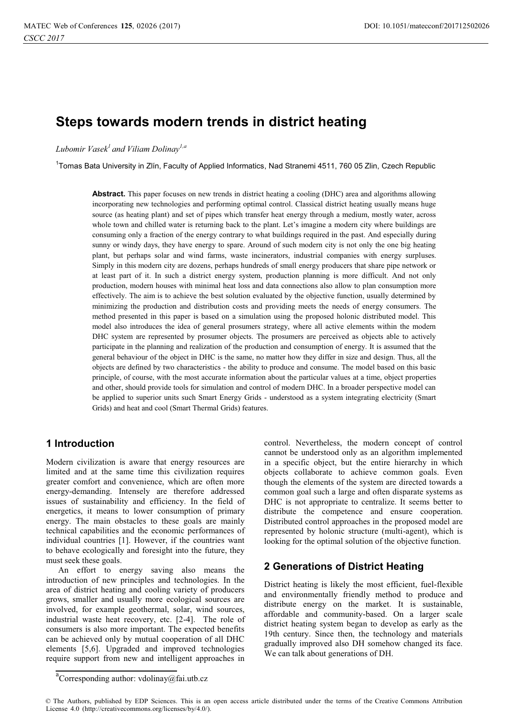# **Steps towards modern trends in district heating**

## *Lubomir Vasek1 and Viliam Dolinay1,a*

<sup>1</sup>Tomas Bata University in Zlín, Faculty of Applied Informatics, Nad Stranemi 4511, 760 05 Zlin, Czech Republic

**Abstract.** This paper focuses on new trends in district heating a cooling (DHC) area and algorithms allowing incorporating new technologies and performing optimal control. Classical district heating usually means huge source (as heating plant) and set of pipes which transfer heat energy through a medium, mostly water, across whole town and chilled water is returning back to the plant. Let's imagine a modern city where buildings are consuming only a fraction of the energy contrary to what buildings required in the past. And especially during sunny or windy days, they have energy to spare. Around of such modern city is not only the one big heating plant, but perhaps solar and wind farms, waste incinerators, industrial companies with energy surpluses. Simply in this modern city are dozens, perhaps hundreds of small energy producers that share pipe network or at least part of it. In such a district energy system, production planning is more difficult. And not only production, modern houses with minimal heat loss and data connections also allow to plan consumption more effectively. The aim is to achieve the best solution evaluated by the objective function, usually determined by minimizing the production and distribution costs and providing meets the needs of energy consumers. The method presented in this paper is based on a simulation using the proposed holonic distributed model. This model also introduces the idea of general prosumers strategy, where all active elements within the modern DHC system are represented by prosumer objects. The prosumers are perceived as objects able to actively participate in the planning and realization of the production and consumption of energy. It is assumed that the general behaviour of the object in DHC is the same, no matter how they differ in size and design. Thus, all the objects are defined by two characteristics - the ability to produce and consume. The model based on this basic principle, of course, with the most accurate information about the particular values at a time, object properties and other, should provide tools for simulation and control of modern DHC. In a broader perspective model can be applied to superior units such Smart Energy Grids - understood as a system integrating electricity (Smart Grids) and heat and cool (Smart Thermal Grids) features.

# **1 Introduction**

Modern civilization is aware that energy resources are limited and at the same time this civilization requires greater comfort and convenience, which are often more energy-demanding. Intensely are therefore addressed issues of sustainability and efficiency. In the field of energetics, it means to lower consumption of primary energy. The main obstacles to these goals are mainly technical capabilities and the economic performances of individual countries [1]. However, if the countries want to behave ecologically and foresight into the future, they must seek these goals.

An effort to energy saving also means the introduction of new principles and technologies. In the area of district heating and cooling variety of producers grows, smaller and usually more ecological sources are involved, for example geothermal, solar, wind sources, industrial waste heat recovery, etc. [2-4]. The role of consumers is also more important. The expected benefits can be achieved only by mutual cooperation of all DHC elements [5,6]. Upgraded and improved technologies require support from new and intelligent approaches in

control. Nevertheless, the modern concept of control cannot be understood only as an algorithm implemented in a specific object, but the entire hierarchy in which objects collaborate to achieve common goals. Even though the elements of the system are directed towards a common goal such a large and often disparate systems as DHC is not appropriate to centralize. It seems better to distribute the competence and ensure cooperation. Distributed control approaches in the proposed model are represented by holonic structure (multi-agent), which is looking for the optimal solution of the objective function.

# **2 Generations of District Heating**

District heating is likely the most efficient, fuel-flexible and environmentally friendly method to produce and distribute energy on the market. It is sustainable, affordable and community-based. On a larger scale district heating system began to develop as early as the 19th century. Since then, the technology and materials gradually improved also DH somehow changed its face. We can talk about generations of DH.

a<br>Corresponding author: vdolinay@fai.utb.cz

<sup>©</sup> The Authors, published by EDP Sciences. This is an open access article distributed under the terms of the Creative Commons Attribution License 4.0 (http://creativecommons.org/licenses/by/4.0/).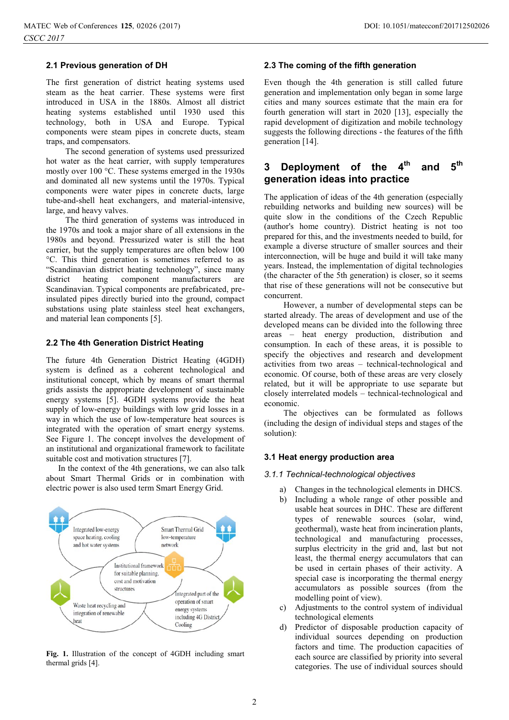### **2.1 Previous generation of DH**

The first generation of district heating systems used steam as the heat carrier. These systems were first introduced in USA in the 1880s. Almost all district heating systems established until 1930 used this technology, both in USA and Europe. Typical components were steam pipes in concrete ducts, steam traps, and compensators.

The second generation of systems used pressurized hot water as the heat carrier, with supply temperatures mostly over 100 °C. These systems emerged in the 1930s and dominated all new systems until the 1970s. Typical components were water pipes in concrete ducts, large tube-and-shell heat exchangers, and material-intensive, large, and heavy valves.

 The third generation of systems was introduced in the 1970s and took a major share of all extensions in the 1980s and beyond. Pressurized water is still the heat carrier, but the supply temperatures are often below 100 °C. This third generation is sometimes referred to as "Scandinavian district heating technology", since many district heating component manufacturers are Scandinavian. Typical components are prefabricated, preinsulated pipes directly buried into the ground, compact substations using plate stainless steel heat exchangers, and material lean components [5].

### **2.2 The 4th Generation District Heating**

The future 4th Generation District Heating (4GDH) system is defined as a coherent technological and institutional concept, which by means of smart thermal grids assists the appropriate development of sustainable energy systems [5]. 4GDH systems provide the heat supply of low-energy buildings with low grid losses in a way in which the use of low-temperature heat sources is integrated with the operation of smart energy systems. See Figure 1. The concept involves the development of an institutional and organizational framework to facilitate suitable cost and motivation structures [7].

In the context of the 4th generations, we can also talk about Smart Thermal Grids or in combination with electric power is also used term Smart Energy Grid.



**Fig. 1.** Illustration of the concept of 4GDH including smart thermal grids [4].

### **2.3 The coming of the fifth generation**

Even though the 4th generation is still called future generation and implementation only began in some large cities and many sources estimate that the main era for fourth generation will start in 2020 [13], especially the rapid development of digitization and mobile technology suggests the following directions - the features of the fifth generation [14].

# **3 Deployment of the 4th and 5th generation ideas into practice**

The application of ideas of the 4th generation (especially rebuilding networks and building new sources) will be quite slow in the conditions of the Czech Republic (author's home country). District heating is not too prepared for this, and the investments needed to build, for example a diverse structure of smaller sources and their interconnection, will be huge and build it will take many years. Instead, the implementation of digital technologies (the character of the 5th generation) is closer, so it seems that rise of these generations will not be consecutive but concurrent.

However, a number of developmental steps can be started already. The areas of development and use of the developed means can be divided into the following three areas – heat energy production, distribution and consumption. In each of these areas, it is possible to specify the objectives and research and development activities from two areas – technical-technological and economic. Of course, both of these areas are very closely related, but it will be appropriate to use separate but closely interrelated models – technical-technological and economic.

The objectives can be formulated as follows (including the design of individual steps and stages of the solution):

### **3.1 Heat energy production area**

# *3.1.1 Technical-technological objectives*

- a) Changes in the technological elements in DHCS.
- b) Including a whole range of other possible and usable heat sources in DHC. These are different types of renewable sources (solar, wind, geothermal), waste heat from incineration plants, technological and manufacturing processes, surplus electricity in the grid and, last but not least, the thermal energy accumulators that can be used in certain phases of their activity. A special case is incorporating the thermal energy accumulators as possible sources (from the modelling point of view).
- c) Adjustments to the control system of individual technological elements
- d) Predictor of disposable production capacity of individual sources depending on production factors and time. The production capacities of each source are classified by priority into several categories. The use of individual sources should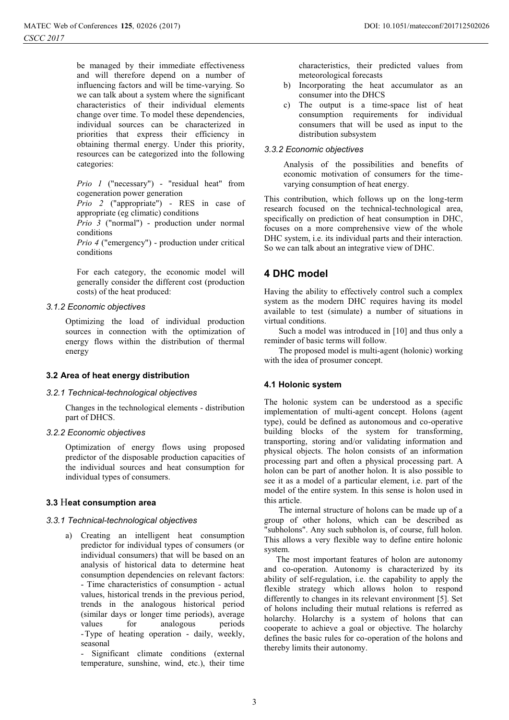be managed by their immediate effectiveness and will therefore depend on a number of influencing factors and will be time-varying. So we can talk about a system where the significant characteristics of their individual elements change over time. To model these dependencies, individual sources can be characterized in priorities that express their efficiency in obtaining thermal energy. Under this priority, resources can be categorized into the following categories:

*Prio 1* ("necessary") - "residual heat" from cogeneration power generation

*Prio 2* ("appropriate") - RES in case of appropriate (eg climatic) conditions

*Prio 3* ("normal") - production under normal conditions

*Prio 4* ("emergency") - production under critical conditions

For each category, the economic model will generally consider the different cost (production costs) of the heat produced:

# *3.1.2 Economic objectives*

Optimizing the load of individual production sources in connection with the optimization of energy flows within the distribution of thermal energy

### **3.2 Area of heat energy distribution**

*3.2.1 Technical-technological objectives*  Changes in the technological elements - distribution part of DHCS.

# *3.2.2 Economic objectives*

Optimization of energy flows using proposed predictor of the disposable production capacities of the individual sources and heat consumption for individual types of consumers.

### **3.3** H**eat consumption area**

*3.3.1 Technical-technological objectives*  a) Creating an intelligent heat consumption predictor for individual types of consumers (or individual consumers) that will be based on an analysis of historical data to determine heat consumption dependencies on relevant factors: - Time characteristics of consumption - actual values, historical trends in the previous period, trends in the analogous historical period (similar days or longer time periods), average values for analogous periods - Type of heating operation - daily, weekly, seasonal

- Significant climate conditions (external temperature, sunshine, wind, etc.), their time

characteristics, their predicted values from meteorological forecasts

- b) Incorporating the heat accumulator as an consumer into the DHCS
- c) The output is a time-space list of heat consumption requirements for individual consumers that will be used as input to the distribution subsystem

# *3.3.2 Economic objectives*

Analysis of the possibilities and benefits of economic motivation of consumers for the timevarying consumption of heat energy.

This contribution, which follows up on the long-term research focused on the technical-technological area, specifically on prediction of heat consumption in DHC, focuses on a more comprehensive view of the whole DHC system, i.e. its individual parts and their interaction. So we can talk about an integrative view of DHC.

# **4 DHC model**

Having the ability to effectively control such a complex system as the modern DHC requires having its model available to test (simulate) a number of situations in virtual conditions.

 Such a model was introduced in [10] and thus only a reminder of basic terms will follow.

 The proposed model is multi-agent (holonic) working with the idea of prosumer concept.

# **4.1 Holonic system**

The holonic system can be understood as a specific implementation of multi-agent concept. Holons (agent type), could be defined as autonomous and co-operative building blocks of the system for transforming, transporting, storing and/or validating information and physical objects. The holon consists of an information processing part and often a physical processing part. A holon can be part of another holon. It is also possible to see it as a model of a particular element, i.e. part of the model of the entire system. In this sense is holon used in this article.

 The internal structure of holons can be made up of a group of other holons, which can be described as "subholons". Any such subholon is, of course, full holon. This allows a very flexible way to define entire holonic system.

The most important features of holon are autonomy and co-operation. Autonomy is characterized by its ability of self-regulation, i.e. the capability to apply the flexible strategy which allows holon to respond differently to changes in its relevant environment [5]. Set of holons including their mutual relations is referred as holarchy. Holarchy is a system of holons that can cooperate to achieve a goal or objective. The holarchy defines the basic rules for co-operation of the holons and thereby limits their autonomy.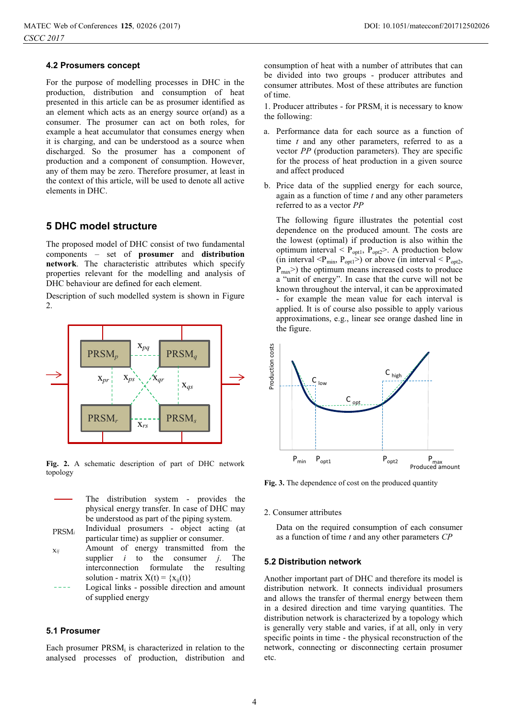### **4.2 Prosumers concept**

For the purpose of modelling processes in DHC in the production, distribution and consumption of heat presented in this article can be as prosumer identified as an element which acts as an energy source or(and) as a consumer. The prosumer can act on both roles, for example a heat accumulator that consumes energy when it is charging, and can be understood as a source when discharged. So the prosumer has a component of production and a component of consumption. However, any of them may be zero. Therefore prosumer, at least in the context of this article, will be used to denote all active elements in DHC.

# **5 DHC model structure**

The proposed model of DHC consist of two fundamental components – set of **prosumer** and **distribution network**. The characteristic attributes which specify properties relevant for the modelling and analysis of DHC behaviour are defined for each element.

Description of such modelled system is shown in Figure 2.



**Fig. 2.** A schematic description of part of DHC network topology

- The distribution system provides the physical energy transfer. In case of DHC may be understood as part of the piping system.
- PRSM*<sup>i</sup>* Individual prosumers - object acting (at particular time) as supplier or consumer.
- x*ij* Amount of energy transmitted from the supplier *i* to the consumer *j*. The interconnection formulate the resulting solution - matrix  $X(t) = \{x_{ii}(t)\}\$
- Logical links possible direction and amount of supplied energy

### **5.1 Prosumer**

Each prosumer  $PRSM_i$  is characterized in relation to the analysed processes of production, distribution and

consumption of heat with a number of attributes that can be divided into two groups - producer attributes and consumer attributes. Most of these attributes are function of time.

1. Producer attributes - for  $PRSM_i$  it is necessary to know the following:

- a. Performance data for each source as a function of time *t* and any other parameters, referred to as a vector *PP* (production parameters). They are specific for the process of heat production in a given source and affect produced
- b. Price data of the supplied energy for each source, again as a function of time *t* and any other parameters referred to as a vector *PP*

The following figure illustrates the potential cost dependence on the produced amount. The costs are the lowest (optimal) if production is also within the optimum interval  $\leq P_{opt1}$ ,  $P_{opt2}$ . A production below (in interval  $\langle P_{\text{min}}, P_{\text{opt1}} \rangle$ ) or above (in interval  $\langle P_{\text{opt2}}, P_{\text{opt2}} \rangle$  $P_{\text{max}}$ ) the optimum means increased costs to produce a "unit of energy". In case that the curve will not be known throughout the interval, it can be approximated - for example the mean value for each interval is applied. It is of course also possible to apply various approximations, e.g., linear see orange dashed line in the figure.



**Fig. 3.** The dependence of cost on the produced quantity

2. Consumer attributes

Data on the required consumption of each consumer as a function of time *t* and any other parameters *CP*

### **5.2 Distribution network**

Another important part of DHC and therefore its model is distribution network. It connects individual prosumers and allows the transfer of thermal energy between them in a desired direction and time varying quantities. The distribution network is characterized by a topology which is generally very stable and varies, if at all, only in very specific points in time - the physical reconstruction of the network, connecting or disconnecting certain prosumer etc.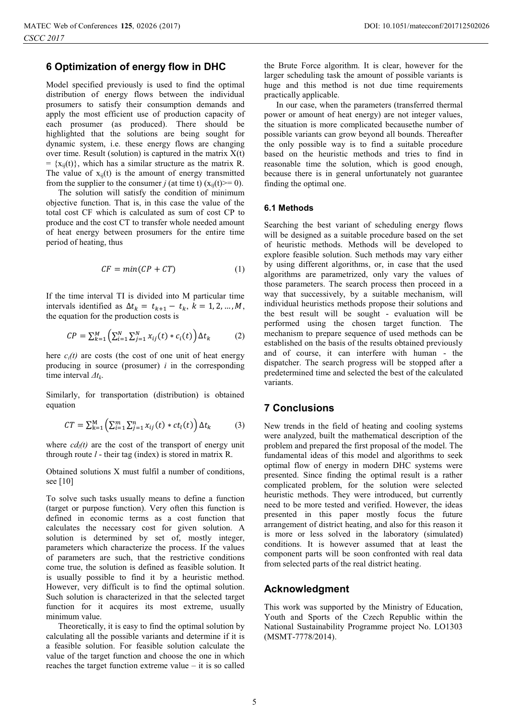## **6 Optimization of energy flow in DHC**

Model specified previously is used to find the optimal distribution of energy flows between the individual prosumers to satisfy their consumption demands and apply the most efficient use of production capacity of each prosumer (as produced). There should be highlighted that the solutions are being sought for dynamic system, i.e. these energy flows are changing over time. Result (solution) is captured in the matrix  $X(t)$  $= \{x_{ii}(t)\}\,$ , which has a similar structure as the matrix R. The value of  $x_{ij}(t)$  is the amount of energy transmitted from the supplier to the consumer *j* (at time t)  $(x_{ii}(t)=0)$ .

 The solution will satisfy the condition of minimum objective function. That is, in this case the value of the total cost CF which is calculated as sum of cost CP to produce and the cost CT to transfer whole needed amount of heat energy between prosumers for the entire time period of heating, thus

$$
CF = min(CP + CT)
$$
 (1)

If the time interval TI is divided into M particular time intervals identified as  $\Delta t_k = t_{k+1} - t_k$ ,  $k = 1, 2, ..., M$ , the equation for the production costs is

$$
CP = \sum_{k=1}^{M} \left( \sum_{i=1}^{N} \sum_{j=1}^{N} x_{ij}(t) * c_i(t) \right) \Delta t_k
$$
 (2)

here  $c_i(t)$  are costs (the cost of one unit of heat energy producing in source (prosumer) *i* in the corresponding time interval *Δtk*.

Similarly, for transportation (distribution) is obtained equation

$$
CT = \sum_{k=1}^{M} \left( \sum_{i=1}^{m} \sum_{j=1}^{n} x_{ij}(t) * ct_{l}(t) \right) \Delta t_{k}
$$
 (3)

where  $cd_l(t)$  are the cost of the transport of energy unit through route *l* - their tag (index) is stored in matrix R.

Obtained solutions X must fulfil a number of conditions, see [10]

To solve such tasks usually means to define a function (target or purpose function). Very often this function is defined in economic terms as a cost function that calculates the necessary cost for given solution. A solution is determined by set of, mostly integer, parameters which characterize the process. If the values of parameters are such, that the restrictive conditions come true, the solution is defined as feasible solution. It is usually possible to find it by a heuristic method. However, very difficult is to find the optimal solution. Such solution is characterized in that the selected target function for it acquires its most extreme, usually minimum value.

Theoretically, it is easy to find the optimal solution by calculating all the possible variants and determine if it is a feasible solution. For feasible solution calculate the value of the target function and choose the one in which reaches the target function extreme value – it is so called

the Brute Force algorithm. It is clear, however for the larger scheduling task the amount of possible variants is huge and this method is not due time requirements practically applicable.

In our case, when the parameters (transferred thermal power or amount of heat energy) are not integer values, the situation is more complicated becausethe number of possible variants can grow beyond all bounds. Thereafter the only possible way is to find a suitable procedure based on the heuristic methods and tries to find in reasonable time the solution, which is good enough, because there is in general unfortunately not guarantee finding the optimal one.

### **6.1 Methods**

Searching the best variant of scheduling energy flows will be designed as a suitable procedure based on the set of heuristic methods. Methods will be developed to explore feasible solution. Such methods may vary either by using different algorithms, or, in case that the used algorithms are parametrized, only vary the values of those parameters. The search process then proceed in a way that successively, by a suitable mechanism, will individual heuristics methods propose their solutions and the best result will be sought - evaluation will be performed using the chosen target function. The mechanism to prepare sequence of used methods can be established on the basis of the results obtained previously and of course, it can interfere with human - the dispatcher. The search progress will be stopped after a predetermined time and selected the best of the calculated variants.

## **7 Conclusions**

New trends in the field of heating and cooling systems were analyzed, built the mathematical description of the problem and prepared the first proposal of the model. The fundamental ideas of this model and algorithms to seek optimal flow of energy in modern DHC systems were presented. Since finding the optimal result is a rather complicated problem, for the solution were selected heuristic methods. They were introduced, but currently need to be more tested and verified. However, the ideas presented in this paper mostly focus the future arrangement of district heating, and also for this reason it is more or less solved in the laboratory (simulated) conditions. It is however assumed that at least the component parts will be soon confronted with real data from selected parts of the real district heating.

## **Acknowledgment**

This work was supported by the Ministry of Education, Youth and Sports of the Czech Republic within the National Sustainability Programme project No. LO1303 (MSMT-7778/2014).